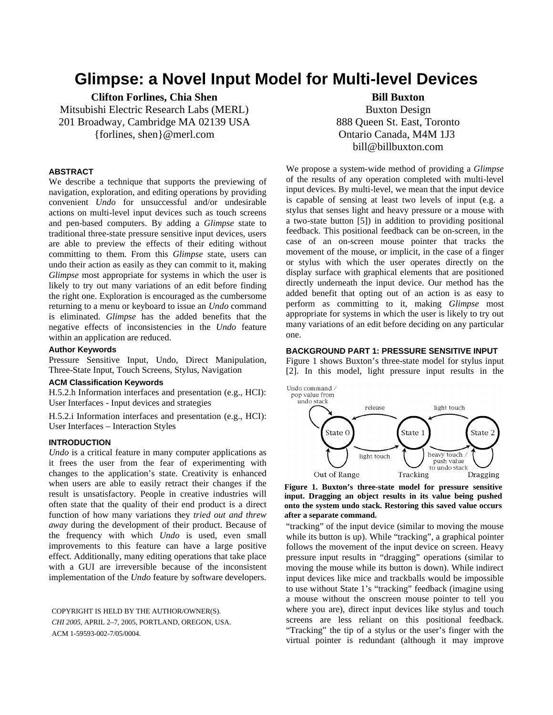# **Glimpse: a Novel Input Model for Multi-level Devices**

**Clifton Forlines, Chia Shen**

Mitsubishi Electric Research Labs (MERL) 201 Broadway, Cambridge MA 02139 USA {forlines, shen}@merl.com

## **ABSTRACT**

We describe a technique that supports the previewing of navigation, exploration, and editing operations by providing convenient *Undo* for unsuccessful and/or undesirable actions on multi-level input devices such as touch screens and pen-based computers. By adding a *Glimpse* state to traditional three-state pressure sensitive input devices, users are able to preview the effects of their editing without committing to them. From this *Glimpse* state, users can undo their action as easily as they can commit to it, making *Glimpse* most appropriate for systems in which the user is likely to try out many variations of an edit before finding the right one. Exploration is encouraged as the cumbersome returning to a menu or keyboard to issue an *Undo* command is eliminated. *Glimpse* has the added benefits that the negative effects of inconsistencies in the *Undo* feature within an application are reduced.

# **Author Keywords**

Pressure Sensitive Input, Undo, Direct Manipulation, Three-State Input, Touch Screens, Stylus, Navigation

# **ACM Classification Keywords**

H.5.2.h Information interfaces and presentation (e.g., HCI): User Interfaces - Input devices and strategies

H.5.2.i Information interfaces and presentation (e.g., HCI): User Interfaces – Interaction Styles

# **INTRODUCTION**

*Undo* is a critical feature in many computer applications as it frees the user from the fear of experimenting with changes to the application's state. Creativity is enhanced when users are able to easily retract their changes if the result is unsatisfactory. People in creative industries will often state that the quality of their end product is a direct function of how many variations they *tried out and threw away* during the development of their product. Because of the frequency with which *Undo* is used, even small improvements to this feature can have a large positive effect. Additionally, many editing operations that take place with a GUI are irreversible because of the inconsistent implementation of the *Undo* feature by software developers.

COPYRIGHT IS HELD BY THE AUTHOR/OWNER(S). *CHI 2005*, APRIL 2–7, 2005, PORTLAND, OREGON, USA. ACM 1-59593-002-7/05/0004.

**Bill Buxton** Buxton Design 888 Queen St. East, Toronto Ontario Canada, M4M 1J3 bill@billbuxton.com

We propose a system-wide method of providing a *Glimpse* of the results of any operation completed with multi-level input devices. By multi-level, we mean that the input device is capable of sensing at least two levels of input (e.g. a stylus that senses light and heavy pressure or a mouse with a two-state button [5]) in addition to providing positional feedback. This positional feedback can be on-screen, in the case of an on-screen mouse pointer that tracks the movement of the mouse, or implicit, in the case of a finger or stylus with which the user operates directly on the display surface with graphical elements that are positioned directly underneath the input device. Our method has the added benefit that opting out of an action is as easy to perform as committing to it, making *Glimpse* most appropriate for systems in which the user is likely to try out many variations of an edit before deciding on any particular one.

# **BACKGROUND PART 1: PRESSURE SENSITIVE INPUT**

Figure 1 shows Buxton's three-state model for stylus input [2]. In this model, light pressure input results in the



**Figure 1. Buxton's three-state model for pressure sensitive input. Dragging an object results in its value being pushed onto the system undo stack. Restoring this saved value occurs after a separate command.**

"tracking" of the input device (similar to moving the mouse while its button is up). While "tracking", a graphical pointer follows the movement of the input device on screen. Heavy pressure input results in "dragging" operations (similar to moving the mouse while its button is down). While indirect input devices like mice and trackballs would be impossible to use without State 1's "tracking" feedback (imagine using a mouse without the onscreen mouse pointer to tell you where you are), direct input devices like stylus and touch screens are less reliant on this positional feedback. "Tracking" the tip of a stylus or the user's finger with the virtual pointer is redundant (although it may improve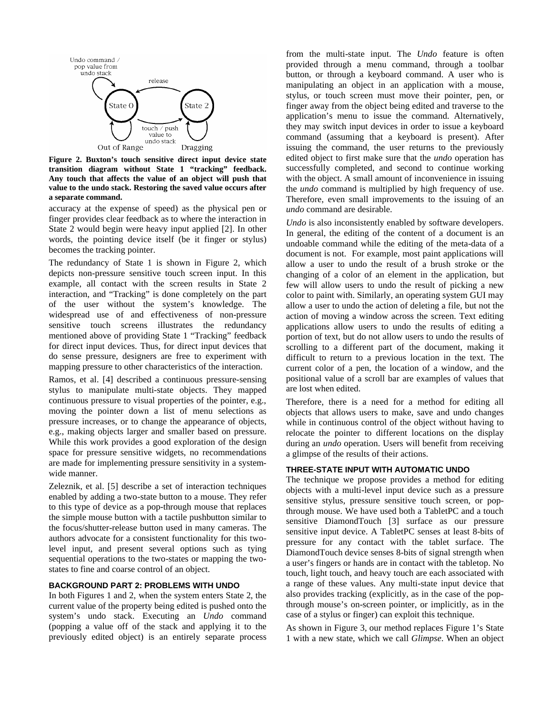

**Figure 2. Buxton's touch sensitive direct input device state transition diagram without State 1 "tracking" feedback. Any touch that affects the value of an object will push that value to the undo stack. Restoring the saved value occurs after a separate command.**

accuracy at the expense of speed) as the physical pen or finger provides clear feedback as to where the interaction in State 2 would begin were heavy input applied [2]. In other words, the pointing device itself (be it finger or stylus) becomes the tracking pointer.

The redundancy of State 1 is shown in Figure 2, which depicts non-pressure sensitive touch screen input. In this example, all contact with the screen results in State 2 interaction, and "Tracking" is done completely on the part of the user without the system's knowledge. The widespread use of and effectiveness of non-pressure sensitive touch screens illustrates the redundancy mentioned above of providing State 1 "Tracking" feedback for direct input devices. Thus, for direct input devices that do sense pressure, designers are free to experiment with mapping pressure to other characteristics of the interaction.

Ramos, et al. [4] described a continuous pressure-sensing stylus to manipulate multi-state objects. They mapped continuous pressure to visual properties of the pointer, e.g., moving the pointer down a list of menu selections as pressure increases, or to change the appearance of objects, e.g., making objects larger and smaller based on pressure. While this work provides a good exploration of the design space for pressure sensitive widgets, no recommendations are made for implementing pressure sensitivity in a systemwide manner.

Zeleznik, et al. [5] describe a set of interaction techniques enabled by adding a two-state button to a mouse. They refer to this type of device as a pop-through mouse that replaces the simple mouse button with a tactile pushbutton similar to the focus/shutter-release button used in many cameras. The authors advocate for a consistent functionality for this twolevel input, and present several options such as tying sequential operations to the two-states or mapping the twostates to fine and coarse control of an object.

# **BACKGROUND PART 2: PROBLEMS WITH UNDO**

In both Figures 1 and 2, when the system enters State 2, the current value of the property being edited is pushed onto the system's undo stack. Executing an *Undo* command (popping a value off of the stack and applying it to the previously edited object) is an entirely separate process from the multi-state input. The *Undo* feature is often provided through a menu command, through a toolbar button, or through a keyboard command. A user who is manipulating an object in an application with a mouse, stylus, or touch screen must move their pointer, pen, or finger away from the object being edited and traverse to the application's menu to issue the command. Alternatively, they may switch input devices in order to issue a keyboard command (assuming that a keyboard is present). After issuing the command, the user returns to the previously edited object to first make sure that the *undo* operation has successfully completed, and second to continue working with the object. A small amount of inconvenience in issuing the *undo* command is multiplied by high frequency of use. Therefore, even small improvements to the issuing of an *undo* command are desirable.

*Undo* is also inconsistently enabled by software developers. In general, the editing of the content of a document is an undoable command while the editing of the meta-data of a document is not. For example, most paint applications will allow a user to undo the result of a brush stroke or the changing of a color of an element in the application, but few will allow users to undo the result of picking a new color to paint with. Similarly, an operating system GUI may allow a user to undo the action of deleting a file, but not the action of moving a window across the screen. Text editing applications allow users to undo the results of editing a portion of text, but do not allow users to undo the results of scrolling to a different part of the document, making it difficult to return to a previous location in the text. The current color of a pen, the location of a window, and the positional value of a scroll bar are examples of values that are lost when edited.

Therefore, there is a need for a method for editing all objects that allows users to make, save and undo changes while in continuous control of the object without having to relocate the pointer to different locations on the display during an *undo* operation. Users will benefit from receiving a glimpse of the results of their actions.

#### **THREE-STATE INPUT WITH AUTOMATIC UNDO**

The technique we propose provides a method for editing objects with a multi-level input device such as a pressure sensitive stylus, pressure sensitive touch screen, or popthrough mouse. We have used both a TabletPC and a touch sensitive DiamondTouch [3] surface as our pressure sensitive input device. A TabletPC senses at least 8-bits of pressure for any contact with the tablet surface. The DiamondTouch device senses 8-bits of signal strength when a user's fingers or hands are in contact with the tabletop. No touch, light touch, and heavy touch are each associated with a range of these values. Any multi-state input device that also provides tracking (explicitly, as in the case of the popthrough mouse's on-screen pointer, or implicitly, as in the case of a stylus or finger) can exploit this technique.

As shown in Figure 3, our method replaces Figure 1's State 1 with a new state, which we call *Glimpse*. When an object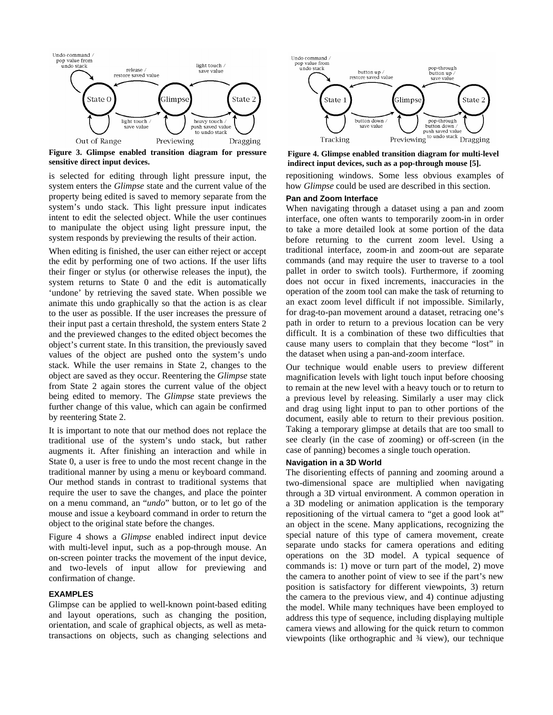

**Figure 3. Glimpse enabled transition diagram for pressure sensitive direct input devices.**

is selected for editing through light pressure input, the system enters the *Glimpse* state and the current value of the property being edited is saved to memory separate from the system's undo stack. This light pressure input indicates intent to edit the selected object. While the user continues to manipulate the object using light pressure input, the system responds by previewing the results of their action.

When editing is finished, the user can either reject or accept the edit by performing one of two actions. If the user lifts their finger or stylus (or otherwise releases the input), the system returns to State 0 and the edit is automatically 'undone' by retrieving the saved state. When possible we animate this undo graphically so that the action is as clear to the user as possible. If the user increases the pressure of their input past a certain threshold, the system enters State 2 and the previewed changes to the edited object becomes the object's current state. In this transition, the previously saved values of the object are pushed onto the system's undo stack. While the user remains in State 2, changes to the object are saved as they occur. Reentering the *Glimpse* state from State 2 again stores the current value of the object being edited to memory. The *Glimpse* state previews the further change of this value, which can again be confirmed by reentering State 2.

It is important to note that our method does not replace the traditional use of the system's undo stack, but rather augments it. After finishing an interaction and while in State 0, a user is free to undo the most recent change in the traditional manner by using a menu or keyboard command. Our method stands in contrast to traditional systems that require the user to save the changes, and place the pointer on a menu command, an "*undo*" button, or to let go of the mouse and issue a keyboard command in order to return the object to the original state before the changes.

Figure 4 shows a *Glimpse* enabled indirect input device with multi-level input, such as a pop-through mouse. An on-screen pointer tracks the movement of the input device, and two-levels of input allow for previewing and confirmation of change.

#### **EXAMPLES**

Glimpse can be applied to well-known point-based editing and layout operations, such as changing the position, orientation, and scale of graphical objects, as well as metatransactions on objects, such as changing selections and



**Figure 4. Glimpse enabled transition diagram for multi-level indirect input devices, such as a pop-through mouse [5].**

repositioning windows. Some less obvious examples of how *Glimpse* could be used are described in this section.

# **Pan and Zoom Interface**

When navigating through a dataset using a pan and zoom interface, one often wants to temporarily zoom-in in order to take a more detailed look at some portion of the data before returning to the current zoom level. Using a traditional interface, zoom-in and zoom-out are separate commands (and may require the user to traverse to a tool pallet in order to switch tools). Furthermore, if zooming does not occur in fixed increments, inaccuracies in the operation of the zoom tool can make the task of returning to an exact zoom level difficult if not impossible. Similarly, for drag-to-pan movement around a dataset, retracing one's path in order to return to a previous location can be very difficult. It is a combination of these two difficulties that cause many users to complain that they become "lost" in the dataset when using a pan-and-zoom interface.

Our technique would enable users to preview different magnification levels with light touch input before choosing to remain at the new level with a heavy touch or to return to a previous level by releasing. Similarly a user may click and drag using light input to pan to other portions of the document, easily able to return to their previous position. Taking a temporary glimpse at details that are too small to see clearly (in the case of zooming) or off-screen (in the case of panning) becomes a single touch operation.

#### **Navigation in a 3D World**

The disorienting effects of panning and zooming around a two-dimensional space are multiplied when navigating through a 3D virtual environment. A common operation in a 3D modeling or animation application is the temporary repositioning of the virtual camera to "get a good look at" an object in the scene. Many applications, recognizing the special nature of this type of camera movement, create separate undo stacks for camera operations and editing operations on the 3D model. A typical sequence of commands is: 1) move or turn part of the model, 2) move the camera to another point of view to see if the part's new position is satisfactory for different viewpoints, 3) return the camera to the previous view, and 4) continue adjusting the model. While many techniques have been employed to address this type of sequence, including displaying multiple camera views and allowing for the quick return to common viewpoints (like orthographic and ¾ view), our technique